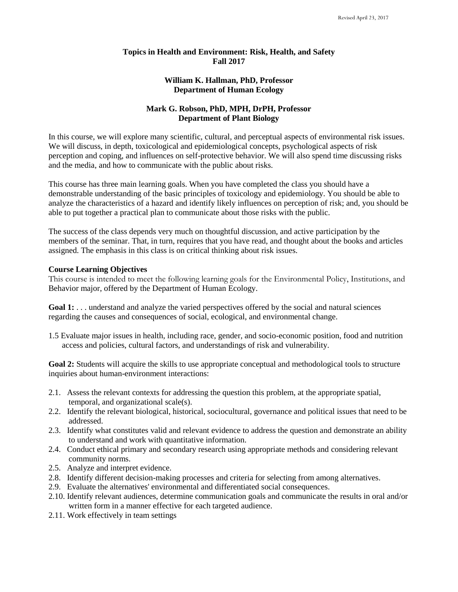### **Topics in Health and Environment: Risk, Health, and Safety Fall 2017**

# **William K. Hallman, PhD, Professor Department of Human Ecology**

# **Mark G. Robson, PhD, MPH, DrPH, Professor Department of Plant Biology**

In this course, we will explore many scientific, cultural, and perceptual aspects of environmental risk issues. We will discuss, in depth, toxicological and epidemiological concepts, psychological aspects of risk perception and coping, and influences on self-protective behavior. We will also spend time discussing risks and the media, and how to communicate with the public about risks.

This course has three main learning goals. When you have completed the class you should have a demonstrable understanding of the basic principles of toxicology and epidemiology. You should be able to analyze the characteristics of a hazard and identify likely influences on perception of risk; and, you should be able to put together a practical plan to communicate about those risks with the public.

The success of the class depends very much on thoughtful discussion, and active participation by the members of the seminar. That, in turn, requires that you have read, and thought about the books and articles assigned. The emphasis in this class is on critical thinking about risk issues.

# **Course Learning Objectives**

This course is intended to meet the following learning goals for the Environmental Policy, Institutions, and Behavior major, offered by the Department of Human Ecology.

Goal 1: . . . understand and analyze the varied perspectives offered by the social and natural sciences regarding the causes and consequences of social, ecological, and environmental change.

1.5 Evaluate major issues in health, including race, gender, and socio-economic position, food and nutrition access and policies, cultural factors, and understandings of risk and vulnerability.

**Goal 2:** Students will acquire the skills to use appropriate conceptual and methodological tools to structure inquiries about human-environment interactions:

- 2.1. Assess the relevant contexts for addressing the question this problem, at the appropriate spatial, temporal, and organizational scale(s).
- 2.2. Identify the relevant biological, historical, sociocultural, governance and political issues that need to be addressed.
- 2.3. Identify what constitutes valid and relevant evidence to address the question and demonstrate an ability to understand and work with quantitative information.
- 2.4. Conduct ethical primary and secondary research using appropriate methods and considering relevant community norms.
- 2.5. Analyze and interpret evidence.
- 2.8. Identify different decision-making processes and criteria for selecting from among alternatives.
- 2.9. Evaluate the alternatives' environmental and differentiated social consequences.
- 2.10. Identify relevant audiences, determine communication goals and communicate the results in oral and/or written form in a manner effective for each targeted audience.
- 2.11. Work effectively in team settings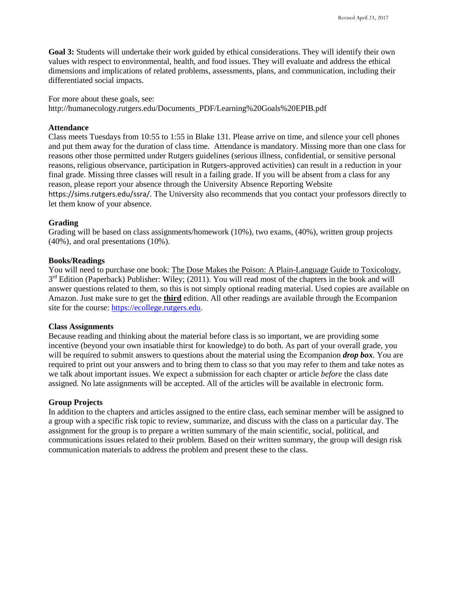**Goal 3:** Students will undertake their work guided by ethical considerations. They will identify their own values with respect to environmental, health, and food issues. They will evaluate and address the ethical dimensions and implications of related problems, assessments, plans, and communication, including their differentiated social impacts.

For more about these goals, see:

[http://humanecology.rutgers.edu/Documents\\_PDF/Learning%20Goals%20EPIB.pdf](http://humanecology.rutgers.edu/Documents_PDF/Learning%20Goals%20EPIB.pdf)

### **Attendance**

Class meets Tuesdays from 10:55 to 1:55 in Blake 131. Please arrive on time, and silence your cell phones and put them away for the duration of class time. Attendance is mandatory. Missing more than one class for reasons other those permitted under Rutgers guidelines (serious illness, confidential, or sensitive personal reasons, religious observance, participation in Rutgers-approved activities) can result in a reduction in your final grade. Missing three classes will result in a failing grade. If you will be absent from a class for any reason, please report your absence through the University Absence Reporting Website <https://sims.rutgers.edu/ssra/>. The University also recommends that you contact your professors directly to let them know of your absence.

### **Grading**

Grading will be based on class assignments/homework (10%), two exams, (40%), written group projects (40%), and oral presentations (10%).

### **Books/Readings**

You will need to purchase one book: The Dose Makes the Poison: A Plain-Language Guide to Toxicology, 3<sup>rd</sup> Edition (Paperback) Publisher: Wiley; (2011). You will read most of the chapters in the book and will answer questions related to them, so this is not simply optional reading material. Used copies are available on Amazon. Just make sure to get the **third** edition. All other readings are available through the Ecompanion site for the course: [https://ecollege.rutgers.edu.](https://ecollege.rutgers.edu/)

### **Class Assignments**

Because reading and thinking about the material before class is so important, we are providing some incentive (beyond your own insatiable thirst for knowledge) to do both. As part of your overall grade, you will be required to submit answers to questions about the material using the Ecompanion *drop box.* You are required to print out your answers and to bring them to class so that you may refer to them and take notes as we talk about important issues. We expect a submission for each chapter or article *before* the class date assigned. No late assignments will be accepted. All of the articles will be available in electronic form.

### **Group Projects**

In addition to the chapters and articles assigned to the entire class, each seminar member will be assigned to a group with a specific risk topic to review, summarize, and discuss with the class on a particular day. The assignment for the group is to prepare a written summary of the main scientific, social, political, and communications issues related to their problem. Based on their written summary, the group will design risk communication materials to address the problem and present these to the class.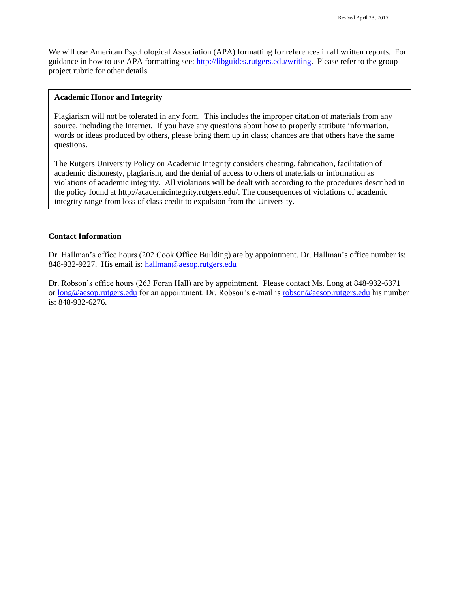We will use American Psychological Association (APA) formatting for references in all written reports. For guidance in how to use APA formatting see: [http://libguides.rutgers.edu/writing.](http://libguides.rutgers.edu/writing) Please refer to the group project rubric for other details.

#### **Academic Honor and Integrity**

Plagiarism will not be tolerated in any form. This includes the improper citation of materials from any source, including the Internet. If you have any questions about how to properly attribute information, words or ideas produced by others, please bring them up in class; chances are that others have the same questions.

The Rutgers University Policy on Academic Integrity considers cheating, fabrication, facilitation of academic dishonesty, plagiarism, and the denial of access to others of materials or information as violations of academic integrity. All violations will be dealt with according to the procedures described in the policy found at [http://academicintegrity.rutgers.edu/.](http://academicintegrity.rutgers.edu/) The consequences of violations of academic integrity range from loss of class credit to expulsion from the University.

# **Contact Information**

Dr. Hallman's office hours (202 Cook Office Building) are by appointment. Dr. Hallman's office number is: 848-932-9227. His email is: [hallman@aesop.rutgers.edu](mailto:hallman@aesop.rutgers.edu)

Dr. Robson's office hours (263 Foran Hall) are by appointment. Please contact Ms. Long at 848-932-6371 o[r long@aesop.rutgers.edu](mailto:long@aesop.rutgers.edu) for an appointment. Dr. Robson's e-mail i[s robson@aesop.rutgers.edu](mailto:robson@aesop.rutgers.edu) his number is: 848-932-6276.